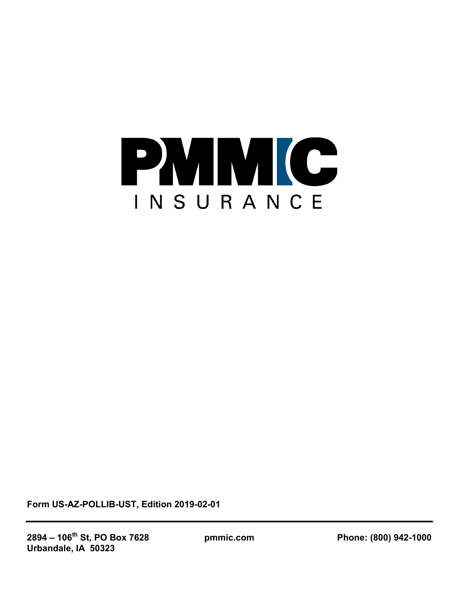

**Form US-AZ-POLLIB-UST, Edition 2019-02-01**

**2894 – 106th St, PO Box 7628 pmmic.com Phone: (800) 942-1000 Urbandale, IA 50323**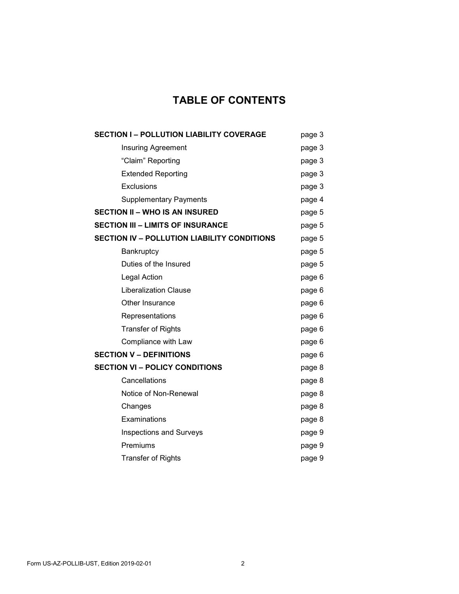# **TABLE OF CONTENTS**

| <b>SECTION I-POLLUTION LIABILITY COVERAGE</b>      | page 3 |
|----------------------------------------------------|--------|
| <b>Insuring Agreement</b>                          | page 3 |
| "Claim" Reporting                                  | page 3 |
| <b>Extended Reporting</b>                          | page 3 |
| Exclusions                                         | page 3 |
| <b>Supplementary Payments</b>                      | page 4 |
| <b>SECTION II - WHO IS AN INSURED</b>              | page 5 |
| <b>SECTION III - LIMITS OF INSURANCE</b>           | page 5 |
| <b>SECTION IV - POLLUTION LIABILITY CONDITIONS</b> | page 5 |
| <b>Bankruptcy</b>                                  | page 5 |
| Duties of the Insured                              | page 5 |
| Legal Action                                       | page 6 |
| <b>Liberalization Clause</b>                       | page 6 |
| Other Insurance                                    | page 6 |
| Representations                                    | page 6 |
| <b>Transfer of Rights</b>                          | page 6 |
| Compliance with Law                                | page 6 |
| <b>SECTION V - DEFINITIONS</b>                     | page 6 |
| <b>SECTION VI - POLICY CONDITIONS</b>              | page 8 |
| Cancellations                                      | page 8 |
| Notice of Non-Renewal                              | page 8 |
| Changes                                            | page 8 |
| Examinations                                       | page 8 |
| <b>Inspections and Surveys</b>                     | page 9 |
| Premiums                                           | page 9 |
| <b>Transfer of Rights</b>                          | page 9 |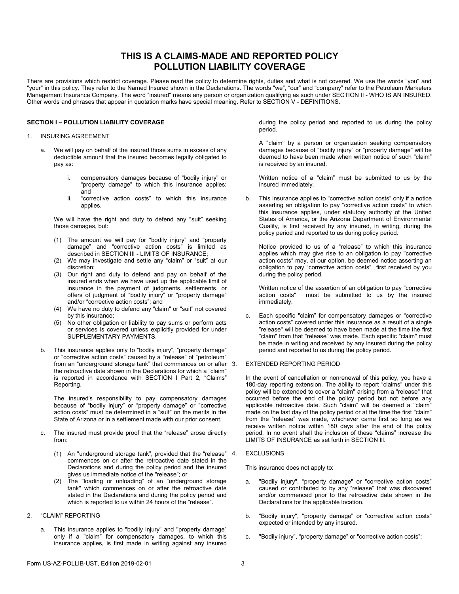## **THIS IS A CLAIMS-MADE AND REPORTED POLICY POLLUTION LIABILITY COVERAGE**

There are provisions which restrict coverage. Please read the policy to determine rights, duties and what is not covered. We use the words "you" and "your" in this policy. They refer to the Named Insured shown in the Declarations. The words "we", "our" and "company" refer to the Petroleum Marketers Management Insurance Company. The word "insured" means any person or organization qualifying as such under SECTION II - WHO IS AN INSURED. Other words and phrases that appear in quotation marks have special meaning. Refer to SECTION V - DEFINITIONS.

### **SECTION I – POLLUTION LIABILITY COVERAGE**

### 1. INSURING AGREEMENT

- a. We will pay on behalf of the insured those sums in excess of any deductible amount that the insured becomes legally obligated to pay as:
	- i. compensatory damages because of "bodily injury" or "property damage" to which this insurance applies; and
	- ii. "corrective action costs" to which this insurance applies.

We will have the right and duty to defend any "suit" seeking those damages, but:

- (1) The amount we will pay for "bodily injury" and "property damage" and "corrective action costs" is limited as described in SECTION III - LIMITS OF INSURANCE;
- (2) We may investigate and settle any "claim" or "suit" at our discretion;
- (3) Our right and duty to defend and pay on behalf of the insured ends when we have used up the applicable limit of insurance in the payment of judgments, settlements, or offers of judgment of "bodily injury" or "property damage" and/or "corrective action costs"; and
- (4) We have no duty to defend any "claim" or "suit" not covered by this insurance;
- (5) No other obligation or liability to pay sums or perform acts or services is covered unless explicitly provided for under SUPPLEMENTARY PAYMENTS.
- b. This insurance applies only to "bodily injury", "property damage" or "corrective action costs" caused by a "release" of "petroleum" from an "underground storage tank" that commences on or after 3. the retroactive date shown in the Declarations for which a "claim" is reported in accordance with SECTION I Part 2, "Claims" Reporting.

The insured's responsibility to pay compensatory damages because of "bodily injury" or "property damage" or "corrective action costs" must be determined in a "suit" on the merits in the State of Arizona or in a settlement made with our prior consent.

- The insured must provide proof that the "release" arose directly from:
	- (1) An "underground storage tank", provided that the "release" commences on or after the retroactive date stated in the Declarations and during the policy period and the insured gives us immediate notice of the "release"; or
	- (2) The "loading or unloading" of an "underground storage tank" which commences on or after the retroactive date stated in the Declarations and during the policy period and which is reported to us within 24 hours of the "release".

### 2. "CLAIM" REPORTING

a. This insurance applies to "bodily injury" and "property damage" only if a "claim" for compensatory damages, to which this insurance applies, is first made in writing against any insured during the policy period and reported to us during the policy period.

A "claim" by a person or organization seeking compensatory damages because of "bodily injury" or "property damage" will be deemed to have been made when written notice of such "claim" is received by an insured.

Written notice of a "claim" must be submitted to us by the insured immediately.

b. This insurance applies to "corrective action costs" only if a notice asserting an obligation to pay "corrective action costs" to which this insurance applies, under statutory authority of the United States of America, or the Arizona Department of Environmental Quality, is first received by any insured, in writing, during the policy period and reported to us during policy period.

Notice provided to us of a "release" to which this insurance applies which may give rise to an obligation to pay "corrective action costs" may, at our option, be deemed notice asserting an obligation to pay "corrective action costs" first received by you during the policy period.

Written notice of the assertion of an obligation to pay "corrective action costs" must be submitted to us by the insured must be submitted to us by the insured immediately.

c. Each specific "claim" for compensatory damages or "corrective action costs" covered under this insurance as a result of a single "release" will be deemed to have been made at the time the first "claim" from that "release" was made. Each specific "claim" must be made in writing and received by any insured during the policy period and reported to us during the policy period.

### EXTENDED REPORTING PERIOD

In the event of cancellation or nonrenewal of this policy, you have a 180-day reporting extension. The ability to report "claims" under this policy will be extended to cover a "claim" arising from a "release" that occurred before the end of the policy period but not before any applicable retroactive date. Such "claim" will be deemed a "claim" made on the last day of the policy period or at the time the first "claim" from the "release" was made, whichever came first so long as we receive written notice within 180 days after the end of the policy period. In no event shall the inclusion of these "claims" increase the LIMITS OF INSURANCE as set forth in SECTION Ill.

### **EXCLUSIONS**

This insurance does not apply to:

- a. "Bodily injury", "property damage" or "corrective action costs" caused or contributed to by any "release" that was discovered and/or commenced prior to the retroactive date shown in the Declarations for the applicable location.
- b. "Bodily injury", "property damage" or "corrective action costs" expected or intended by any insured.
- c. "Bodily injury", "property damage" or "corrective action costs":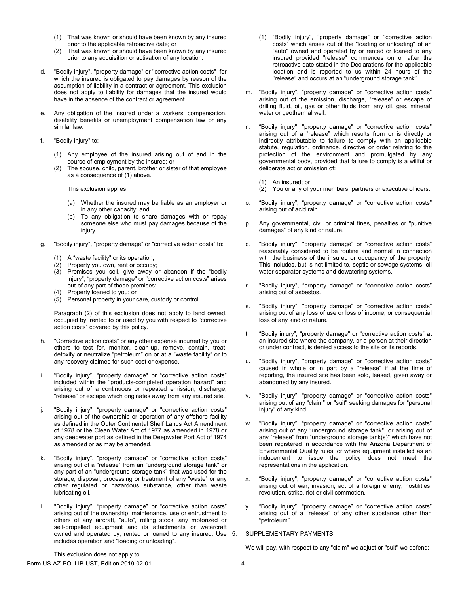- (1) That was known or should have been known by any insured prior to the applicable retroactive date; or
- (2) That was known or should have been known by any insured prior to any acquisition or activation of any location.
- d. "Bodily injury", "property damage" or "corrective action costs" for which the insured is obligated to pay damages by reason of the assumption of liability in a contract or agreement. This exclusion does not apply to liability for damages that the insured would have in the absence of the contract or agreement.
- e. Any obligation of the insured under a workers' compensation, disability benefits or unemployment compensation law or any similar law.
- f. "Bodily injury" to:
	- (1) Any employee of the insured arising out of and in the course of employment by the insured; or
	- (2) The spouse, child, parent, brother or sister of that employee as a consequence of (1) above.

This exclusion applies:

- (a) Whether the insured may be liable as an employer or in any other capacity; and
- (b) To any obligation to share damages with or repay someone else who must pay damages because of the injury.
- g. "Bodily injury", "property damage" or "corrective action costs" to:
	- (1) A "waste facility" or its operation;
	- (2) Property you own, rent or occupy;
	- (3) Premises you sell, give away or abandon if the "bodily injury", "property damage" or "corrective action costs" arises out of any part of those premises;
	- (4) Property loaned to you; or
	- (5) Personal property in your care, custody or control.

Paragraph (2) of this exclusion does not apply to land owned, occupied by, rented to or used by you with respect to "corrective action costs" covered by this policy.

- h. "Corrective action costs" or any other expense incurred by you or others to test for, monitor, clean-up, remove, contain, treat, detoxify or neutralize "petroleum" on or at a "waste facility" or to any recovery claimed for such cost or expense.
- i. "Bodily injury", "property damage" or "corrective action costs" included within the "products-completed operation hazard" and arising out of a continuous or repeated emission, discharge, "release" or escape which originates away from any insured site.
- j. "Bodily injury", "property damage" or "corrective action costs" arising out of the ownership or operation of any offshore facility as defined in the Outer Continental Shelf Lands Act Amendment of 1978 or the Clean Water Act of 1977 as amended in 1978 or any deepwater port as defined in the Deepwater Port Act of 1974 as amended or as may be amended.
- k. "Bodily injury", "property damage" or "corrective action costs" arising out of a "release" from an "underground storage tank" or any part of an "underground storage tank" that was used for the storage, disposal, processing or treatment of any "waste" or any other regulated or hazardous substance, other than waste lubricating oil.
- l. "Bodily injury", "property damage" or "corrective action costs" arising out of the ownership, maintenance, use or entrustment to others of any aircraft, "auto", rolling stock, any motorized or self-propelled equipment and its attachments or watercraft owned and operated by, rented or loaned to any insured. Use 5. includes operation and "loading or unloading".
- (1) "Bodily injury", "property damage" or "corrective action costs" which arises out of the "loading or unloading" of an "auto" owned and operated by or rented or loaned to any insured provided "release" commences on or after the retroactive date stated in the Declarations for the applicable location and is reported to us within 24 hours of the "release" and occurs at an "underground storage tank".
- m. "Bodily injury", "property damage" or "corrective action costs" arising out of the emission, discharge, "release" or escape of drilling fluid, oil, gas or other fluids from any oil, gas, mineral, water or geothermal well.
- n. "Bodily injury", "property damage" or "corrective action costs" arising out of a "release" which results from or is directly or indirectly attributable to failure to comply with an applicable statute, regulation, ordinance, directive or order relating to the protection of the environment and promulgated by any governmental body, provided that failure to comply is a willful or deliberate act or omission of:
	- (1) An insured; or
	- (2) You or any of your members, partners or executive officers.
- o. "Bodily injury", "property damage" or "corrective action costs" arising out of acid rain.
- p. Any governmental, civil or criminal fines, penalties or "punitive damages" of any kind or nature.
- q. "Bodily injury", "property damage" or "corrective action costs" reasonably considered to be routine and normal in connection with the business of the insured or occupancy of the property. This includes, but is not limited to, septic or sewage systems, oil water separator systems and dewatering systems.
- r. "Bodily injury", "property damage" or "corrective action costs" arising out of asbestos.
- s. "Bodily injury", "property damage" or "corrective action costs" arising out of any loss of use or loss of income, or consequential loss of any kind or nature.
- t. "Bodily injury", "property damage" or "corrective action costs" at an insured site where the company, or a person at their direction or under contract, is denied access to the site or its records.
- u**.** "Bodily injury", "property damage" or "corrective action costs" caused in whole or in part by a "release" if at the time of reporting, the insured site has been sold, leased, given away or abandoned by any insured.
- v. "Bodily injury", "property damage" or "corrective action costs" arising out of any "claim" or "suit" seeking damages for "personal injury" of any kind.
- w. "Bodily injury", "property damage" or "corrective action costs" arising out of any "underground storage tank", or arising out of any "release" from "underground storage tank(s)" which have not been registered in accordance with the Arizona Department of Environmental Quality rules, or where equipment installed as an inducement to issue the policy does not meet the representations in the application.
- x. "Bodily injury", "property damage" or "corrective action costs" arising out of war, invasion, act of a foreign enemy, hostilities, revolution, strike, riot or civil commotion.
- y. "Bodily injury", "property damage" or "corrective action costs" arising out of a "release" of any other substance other than "petroleum".

### 5. SUPPLEMENTARY PAYMENTS

We will pay, with respect to any "claim" we adjust or "suit" we defend: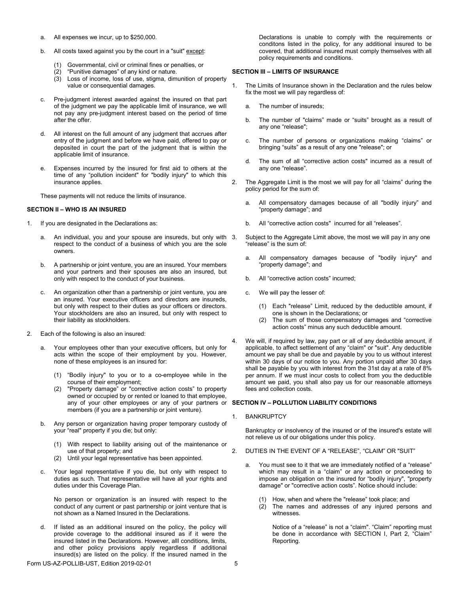- a. All expenses we incur, up to \$250,000.
- b. All costs taxed against you by the court in a "suit" except:
	- Governmental, civil or criminal fines or penalties, or
	- (2) "Punitive damages" of any kind or nature.
	- (3) Loss of income, loss of use, stigma, dimunition of property value or consequential damages.
- c. Pre-judgment interest awarded against the insured on that part of the judgment we pay the applicable limit of insurance, we will not pay any pre-judgment interest based on the period of time after the offer.
- d. All interest on the full amount of any judgment that accrues after entry of the judgment and before we have paid, offered to pay or deposited in court the part of the judgment that is within the applicable limit of insurance.
- e. Expenses incurred by the insured for first aid to others at the time of any "pollution incident" for "bodily injury" to which this insurance applies.

These payments will not reduce the limits of insurance.

### **SECTION II – WHO IS AN INSURED**

- 1. If you are designated in the Declarations as:
	- a. An individual, you and your spouse are insureds, but only with respect to the conduct of a business of which you are the sole owners.
	- b. A partnership or joint venture, you are an insured. Your members and your partners and their spouses are also an insured, but only with respect to the conduct of your business.
	- c. An organization other than a partnership or joint venture, you are an insured. Your executive officers and directors are insureds, but only with respect to their duties as your officers or directors. Your stockholders are also an insured, but only with respect to their liability as stockholders.
- 2. Each of the following is also an insured:
	- Your employees other than your executive officers, but only for acts within the scope of their employment by you. However, none of these employees is an insured for:
		- (1) "Bodily injury" to you or to a co-employee while in the course of their employment;
		- (2) "Property damage" or "corrective action costs" to property owned or occupied by or rented or loaned to that employee, any of your other employees or any of your partners or **SECTION IV – POLLUTION LIABILITY CONDITIONS** members (if you are a partnership or joint venture).
	- b. Any person or organization having proper temporary custody of your "real" property if you die; but only:
		- (1) With respect to liability arising out of the maintenance or use of that property; and
		- (2) Until your legal representative has been appointed.
	- c. Your legal representative if you die, but only with respect to duties as such. That representative will have all your rights and duties under this Coverage Plan.

No person or organization is an insured with respect to the conduct of any current or past partnership or joint venture that is not shown as a Named Insured in the Declarations.

d. If listed as an additional insured on the policy, the policy will provide coverage to the additional insured as if it were the insured listed in the Declarations. However, alll conditions, limits, and other policy provisions apply regardless if additional insured(s) are listed on the policy. If the insured named in the

Declarations is unable to comply with the requirements or conditons listed in the policy, for any additional insured to be covered, that additional insured must comply themselves with all policy requirements and conditions.

### **SECTION III – LIMITS OF INSURANCE**

- 1. The Limits of Insurance shown in the Declaration and the rules below fix the most we will pay regardless of:
	- a. The number of insureds;
	- b. The number of "claims" made or "suits" brought as a result of any one "release";
	- c. The number of persons or organizations making "claims" or bringing "suits" as a result of any one "release"; or
	- d. The sum of all "corrective action costs" incurred as a result of any one "release".
- 2. The Aggregate Limit is the most we will pay for all "claims" during the policy period for the sum of:
	- a. All compensatory damages because of all "bodily injury" and "property damage"; and
	- b. All "corrective action costs" incurred for all "releases".
	- Subject to the Aggregate Limit above, the most we will pay in any one "release" is the sum of:
	- a. All compensatory damages because of "bodily injury" and "property damage"; and
	- b. All "corrective action costs" incurred;
	- c. We will pay the lesser of:
		- (1) Each "release" Limit, reduced by the deductible amount, if one is shown in the Declarations; or
		- (2) The sum of those compensatory damages and "corrective action costs" minus any such deductible amount.
- 4. We will, if required by law, pay part or all of any deductible amount, if applicable, to affect settlement of any "claim" or "suit". Any deductible amount we pay shall be due and payable by you to us without interest within 30 days of our notice to you. Any portion unpaid after 30 days shall be payable by you with interest from the 31st day at a rate of 8% per annum. If we must incur costs to collect from you the deductible amount we paid, you shall also pay us for our reasonable attorneys fees and collection costs.

1. BANKRUPTCY

Bankruptcy or insolvency of the insured or of the insured's estate will not relieve us of our obligations under this policy.

- 2. DUTIES IN THE EVENT OF A "RELEASE", "CLAIM" OR "SUIT"
	- You must see to it that we are immediately notified of a "release" which may result in a "claim" or any action or proceeding to impose an obligation on the insured for "bodily injury", "property damage" or "corrective action costs". Notice should include:
		- (1) How, when and where the "release" took place; and
		- (2) The names and addresses of any injured persons and witnesses.

Notice of a "release" is not a "claim". "Claim" reporting must be done in accordance with SECTION I, Part 2, "Claim" Reporting.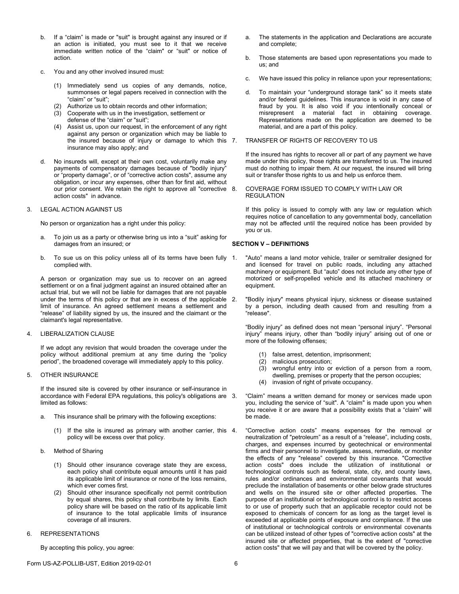- b. If a "claim" is made or "suit" is brought against any insured or if an action is initiated, you must see to it that we receive immediate written notice of the "claim" or "suit" or notice of action.
- c. You and any other involved insured must:
	- (1) Immediately send us copies of any demands, notice, summonses or legal papers received in connection with the "claim" or "suit";
	- (2) Authorize us to obtain records and other information;
	- (3) Cooperate with us in the investigation, settlement or defense of the "claim" or "suit";
	- (4) Assist us, upon our request, in the enforcement of any right against any person or organization which may be liable to the insured because of injury or damage to which this 7. insurance may also apply; and
- d. No insureds will, except at their own cost, voluntarily make any payments of compensatory damages because of "bodily injury" or "property damage", or of "corrective action costs", assume any obligation, or incur any expenses, other than for first aid, without our prior consent. We retain the right to approve all "corrective 8. action costs" in advance.
- 3. LEGAL ACTION AGAINST US

No person or organization has a right under this policy:

- a. To join us as a party or otherwise bring us into a "suit" asking for damages from an insured; or
- b. To sue us on this policy unless all of its terms have been fully 1. complied with.

A person or organization may sue us to recover on an agreed settlement or on a final judgment against an insured obtained after an actual trial, but we will not be liable for damages that are not payable under the terms of this policy or that are in excess of the applicable 2. limit of insurance. An agreed settlement means a settlement and "release" of liability signed by us, the insured and the claimant or the claimant's legal representative.

### 4. LIBERALIZATION CLAUSE

If we adopt any revision that would broaden the coverage under the policy without additional premium at any time during the "policy period", the broadened coverage will immediately apply to this policy.

5. OTHER INSURANCE

If the insured site is covered by other insurance or self-insurance in accordance with Federal EPA regulations, this policy's obligations are limited as follows:

- a. This insurance shall be primary with the following exceptions:
	- (1) If the site is insured as primary with another carrier, this policy will be excess over that policy.
- b. Method of Sharing
	- (1) Should other insurance coverage state they are excess, each policy shall contribute equal amounts until it has paid its applicable limit of insurance or none of the loss remains, which ever comes first.
	- (2) Should other insurance specifically not permit contribution by equal shares, this policy shall contribute by limits. Each policy share will be based on the ratio of its applicable limit of insurance to the total applicable limits of insurance coverage of all insurers.
- 6. REPRESENTATIONS

By accepting this policy, you agree:

- The statements in the application and Declarations are accurate and complete;
- b. Those statements are based upon representations you made to us; and
- c. We have issued this policy in reliance upon your representations;
- d. To maintain your "underground storage tank" so it meets state and/or federal guidelines. This insurance is void in any case of fraud by you. It is also void if you intentionally conceal or misrepresent a material fact in obtaining coverage. Representations made on the application are deemed to be material, and are a part of this policy.

### TRANSFER OF RIGHTS OF RECOVERY TO US

If the insured has rights to recover all or part of any payment we have made under this policy, those rights are transferred to us. The insured must do nothing to impair them. At our request, the insured will bring suit or transfer those rights to us and help us enforce them.

### 8. COVERAGE FORM ISSUED TO COMPLY WITH LAW OR REGULATION

If this policy is issued to comply with any law or regulation which requires notice of cancellation to any governmental body, cancellation may not be affected until the required notice has been provided by you or us.

### **SECTION V – DEFINITIONS**

"Auto" means a land motor vehicle, trailer or semitrailer designed for and licensed for travel on public roads, including any attached machinery or equipment. But "auto" does not include any other type of motorized or self-propelled vehicle and its attached machinery or equipment.

"Bodily injury" means physical injury, sickness or disease sustained by a person, including death caused from and resulting from a "release".

"Bodily injury" as defined does not mean "personal injury". "Personal injury" means injury, other than "bodily injury" arising out of one or more of the following offenses;

- (1) false arrest, detention, imprisonment;
- (2) malicious prosecution;
- wrongful entry into or eviction of a person from a room,
- dwelling, premises or property that the person occupies;
- (4) invasion of right of private occupancy.

3. "Claim" means a written demand for money or services made upon you, including the service of "suit". A "claim" is made upon you when you receive it or are aware that a possibility exists that a "claim" will be made.

4. "Corrective action costs" means expenses for the removal or neutralization of "petroleum" as a result of a "release", including costs, charges, and expenses incurred by geotechnical or environmental firms and their personnel to investigate, assess, remediate, or monitor the effects of any "release" covered by this insurance. "Corrective action costs" does include the utilization of institutional or technological controls such as federal, state, city, and county laws, rules and/or ordinances and environmental covenants that would preclude the installation of basements or other below grade structures and wells on the insured site or other affected properties. The purpose of an institutional or technological control is to restrict access to or use of property such that an applicable receptor could not be exposed to chemicals of concern for as long as the target level is exceeded at applicable points of exposure and compliance. If the use of institutional or technological controls or environmental covenants can be utilized instead of other types of "corrective action costs" at the insured site or affected properties, that is the extent of "corrective action costs" that we will pay and that will be covered by the policy.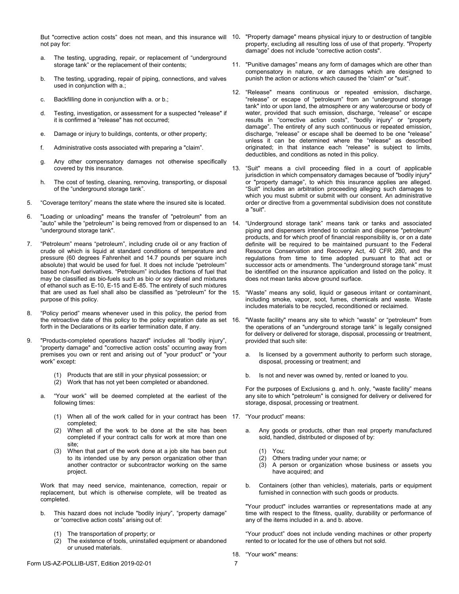not pay for:

- a. The testing, upgrading, repair, or replacement of "underground storage tank" or the replacement of their contents;
- b. The testing, upgrading, repair of piping, connections, and valves used in conjunction with a.;
- c. Backfilling done in conjunction with a. or b.;
- d. Testing, investigation, or assessment for a suspected "release" if it is confirmed a "release" has not occurred;
- e. Damage or injury to buildings, contents, or other property;
- f. Administrative costs associated with preparing a "claim".
- g. Any other compensatory damages not otherwise specifically covered by this insurance.
- h. The cost of testing, cleaning, removing, transporting, or disposal of the "underground storage tank".
- 5. "Coverage territory" means the state where the insured site is located.
- 6. "Loading or unloading" means the transfer of "petroleum" from an "auto" while the "petroleum" is being removed from or dispensed to an 14. "underground storage tank".
- 7. "Petroleum" means "petroleum", including crude oil or any fraction of crude oil which is liquid at standard conditions of temperature and pressure (60 degrees Fahrenheit and 14.7 pounds per square inch absolute) that would be used for fuel. It does not include "petroleum" based non-fuel derivatives. "Petroleum" includes fractions of fuel that may be classified as bio-fuels such as bio or soy diesel and mixtures of ethanol such as E-10, E-15 and E-85. The entirety of such mixtures that are used as fuel shall also be classified as "petroleum" for the purpose of this policy.
- 8. "Policy period" means whenever used in this policy, the period from the retroactive date of this policy to the policy expiration date as set 16. forth in the Declarations or its earlier termination date, if any.
- 9. "Products-completed operations hazard" includes all "bodily injury", "property damage" and "corrective action costs" occurring away from premises you own or rent and arising out of "your product" or "your work" except:
	- (1) Products that are still in your physical possession; or
	- (2) Work that has not yet been completed or abandoned.
	- a. "Your work" will be deemed completed at the earliest of the following times:
		- (1) When all of the work called for in your contract has been 17. "Your product" means: completed;
		- (2) When all of the work to be done at the site has been completed if your contract calls for work at more than one site;
		- (3) When that part of the work done at a job site has been put to its intended use by any person organization other than another contractor or subcontractor working on the same project.

Work that may need service, maintenance, correction, repair or replacement, but which is otherwise complete, will be treated as completed.

- b. This hazard does not include "bodily injury", "property damage" or "corrective action costs" arising out of:
	- (1) The transportation of property; or
	- (2) The existence of tools, uninstalled equipment or abandoned or unused materials.
- But "corrective action costs" does not mean, and this insurance will 10**.** "Property damage" means physical injury to or destruction of tangible property, excluding all resulting loss of use of that property. "Property damage" does not include "corrective action costs".
	- 11. "Punitive damages" means any form of damages which are other than compensatory in nature, or are damages which are designed to punish the action or actions which caused the "claim" or "suit".
	- 12. "Release" means continuous or repeated emission, discharge, "release" or escape of "petroleum" from an "underground storage tank" into or upon land, the atmosphere or any watercourse or body of water, provided that such emission, discharge, "release" or escape results in "corrective action costs", "bodily injury" or "property damage". The entirety of any such continuous or repeated emission, discharge, "release" or escape shall be deemed to be one "release" unless it can be determined where the "release" as described originated; in that instance each "release" is subject to limits, deductibles, and conditions as noted in this policy.
	- 13. "Suit" means a civil proceeding filed in a court of applicable jurisdiction in which compensatory damages because of "bodily injury" or "property damage", to which this insurance applies are alleged. "Suit" includes an arbitration proceeding alleging such damages to which you must submit or submit with our consent. An administrative order or directive from a governmental subdivision does not constitute a "suit".
	- "Underground storage tank" means tank or tanks and associated piping and dispensers intended to contain and dispense "petroleum" products, and for which proof of financial responsibility is, or on a date definite will be required to be maintained pursuant to the Federal Resource Conservation and Recovery Act, 40 CFR 280, and the regulations from time to time adopted pursuant to that act or successor acts or amendments. The "underground storage tank" must be identified on the insurance application and listed on the policy. It does not mean tanks above ground surface.
	- "Waste" means any solid, liquid or gaseous irritant or contaminant, including smoke, vapor, soot, fumes, chemicals and waste. Waste includes materials to be recycled, reconditioned or reclaimed.
	- "Waste facility" means any site to which "waste" or "petroleum" from the operations of an "underground storage tank" is legally consigned for delivery or delivered for storage, disposal, processing or treatment, provided that such site:
		- a. Is licensed by a government authority to perform such storage, disposal, processing or treatment; and
		- b. Is not and never was owned by, rented or loaned to you.

For the purposes of Exclusions g. and h. only, "waste facility" means any site to which "petroleum" is consigned for delivery or delivered for storage, disposal, processing or treatment.

- - a. Any goods or products, other than real property manufactured sold, handled, distributed or disposed of by:
		- (1) You;
		- Others trading under your name; or
		- (3) A person or organization whose business or assets you have acquired; and
	- b. Containers (other than vehicles), materials, parts or equipment furnished in connection with such goods or products.

"Your product" includes warranties or representations made at any time with respect to the fitness, quality, durability or performance of any of the items included in a. and b. above.

"Your product" does not include vending machines or other property rented to or located for the use of others but not sold.

18. "Your work" means: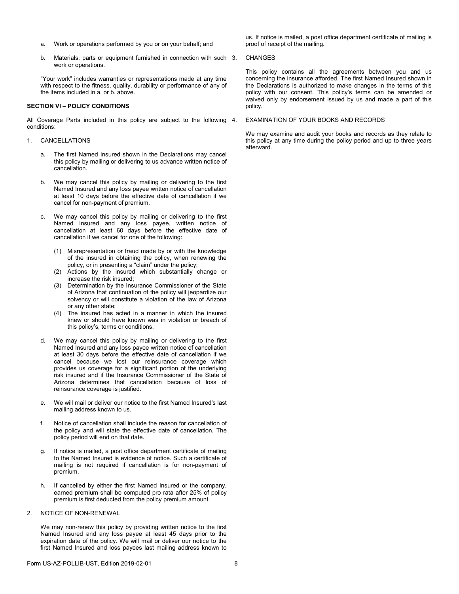- a. Work or operations performed by you or on your behalf; and
- b. Materials, parts or equipment furnished in connection with such 3. work or operations.

"Your work" includes warranties or representations made at any time with respect to the fitness, quality, durability or performance of any of the items included in a. or b. above.

### **SECTION VI – POLICY CONDITIONS**

All Coverage Parts included in this policy are subject to the following 4. conditions:

### 1. CANCELLATIONS

- a. The first Named Insured shown in the Declarations may cancel this policy by mailing or delivering to us advance written notice of cancellation.
- b. We may cancel this policy by mailing or delivering to the first Named Insured and any loss payee written notice of cancellation at least 10 days before the effective date of cancellation if we cancel for non-payment of premium.
- c. We may cancel this policy by mailing or delivering to the first Named Insured and any loss payee, written notice of cancellation at least 60 days before the effective date of cancellation if we cancel for one of the following:
	- (1) Misrepresentation or fraud made by or with the knowledge of the insured in obtaining the policy, when renewing the policy, or in presenting a "claim" under the policy;
	- (2) Actions by the insured which substantially change or increase the risk insured;
	- (3) Determination by the Insurance Commissioner of the State of Arizona that continuation of the policy will jeopardize our solvency or will constitute a violation of the law of Arizona or any other state;
	- (4) The insured has acted in a manner in which the insured knew or should have known was in violation or breach of this policy's, terms or conditions.
- d. We may cancel this policy by mailing or delivering to the first Named Insured and any loss payee written notice of cancellation at least 30 days before the effective date of cancellation if we cancel because we lost our reinsurance coverage which provides us coverage for a significant portion of the underlying risk insured and if the Insurance Commissioner of the State of Arizona determines that cancellation because of loss of reinsurance coverage is justified.
- e. We will mail or deliver our notice to the first Named Insured's last mailing address known to us.
- f. Notice of cancellation shall include the reason for cancellation of the policy and will state the effective date of cancellation. The policy period will end on that date.
- g. If notice is mailed, a post office department certificate of mailing to the Named Insured is evidence of notice. Such a certificate of mailing is not required if cancellation is for non-payment of premium.
- h. If cancelled by either the first Named Insured or the company, earned premium shall be computed pro rata after 25% of policy premium is first deducted from the policy premium amount.
- 2. NOTICE OF NON-RENEWAL

We may non-renew this policy by providing written notice to the first Named Insured and any loss payee at least 45 days prior to the expiration date of the policy. We will mail or deliver our notice to the first Named Insured and loss payees last mailing address known to

us. If notice is mailed, a post office department certificate of mailing is proof of receipt of the mailing.

### **CHANGES**

This policy contains all the agreements between you and us concerning the insurance afforded. The first Named Insured shown in the Declarations is authorized to make changes in the terms of this policy with our consent. This policy's terms can be amended or waived only by endorsement issued by us and made a part of this policy.

### EXAMINATION OF YOUR BOOKS AND RECORDS

We may examine and audit your books and records as they relate to this policy at any time during the policy period and up to three years afterward.